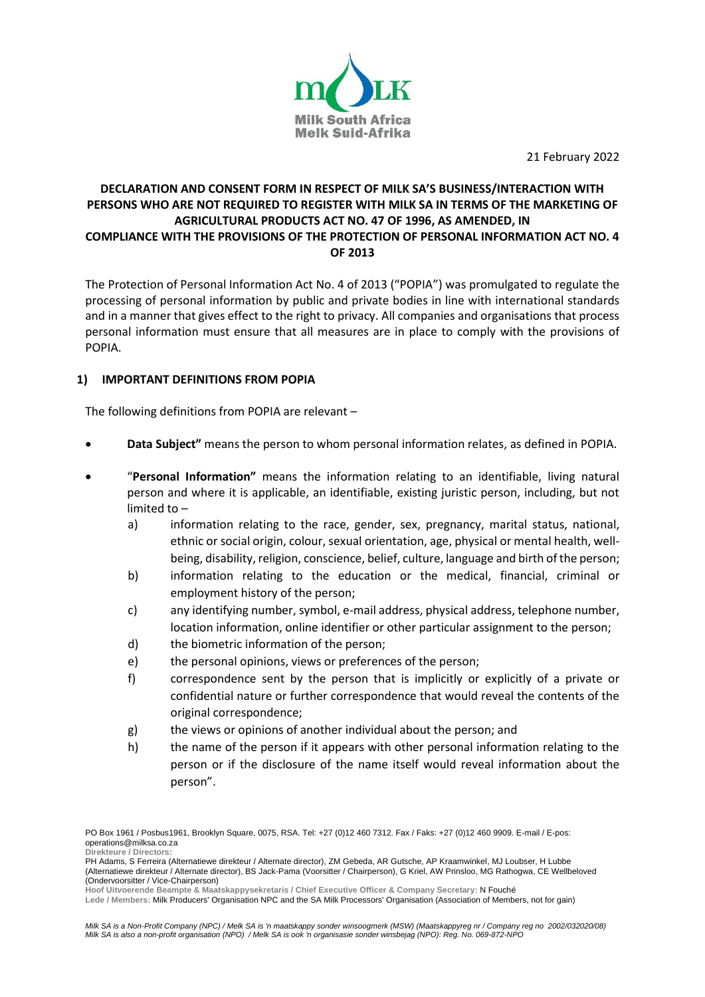

21 February 2022

## **DECLARATION AND CONSENT FORM IN RESPECT OF MILK SA'S BUSINESS/INTERACTION WITH PERSONS WHO ARE NOT REQUIRED TO REGISTER WITH MILK SA IN TERMS OF THE MARKETING OF AGRICULTURAL PRODUCTS ACT NO. 47 OF 1996, AS AMENDED, IN COMPLIANCE WITH THE PROVISIONS OF THE PROTECTION OF PERSONAL INFORMATION ACT NO. 4 OF 2013**

The Protection of Personal Information Act No. 4 of 2013 ("POPIA") was promulgated to regulate the processing of personal information by public and private bodies in line with international standards and in a manner that gives effect to the right to privacy. All companies and organisations that process personal information must ensure that all measures are in place to comply with the provisions of POPIA.

## **1) IMPORTANT DEFINITIONS FROM POPIA**

The following definitions from POPIA are relevant –

- **Data Subject"** means the person to whom personal information relates, as defined in POPIA.
- "**Personal Information"** means the information relating to an identifiable, living natural person and where it is applicable, an identifiable, existing juristic person, including, but not limited to –
	- a) information relating to the race, gender, sex, pregnancy, marital status, national, ethnic or social origin, colour, sexual orientation, age, physical or mental health, wellbeing, disability, religion, conscience, belief, culture, language and birth of the person;
	- b) information relating to the education or the medical, financial, criminal or employment history of the person;
	- c) any identifying number, symbol, e-mail address, physical address, telephone number, location information, online identifier or other particular assignment to the person;
	- d) the biometric information of the person;
	- e) the personal opinions, views or preferences of the person;
	- f) correspondence sent by the person that is implicitly or explicitly of a private or confidential nature or further correspondence that would reveal the contents of the original correspondence;
	- g) the views or opinions of another individual about the person; and
	- h) the name of the person if it appears with other personal information relating to the person or if the disclosure of the name itself would reveal information about the person".

PO Box 1961 / Posbus1961, Brooklyn Square, 0075, RSA. Tel: +27 (0)12 460 7312. Fax / Faks: +27 (0)12 460 9909. E-mail / E-pos: operations@milksa.co.za **Direkteure / Directors:**

PH Adams, S Ferreira (Alternatiewe direkteur / Alternate director), ZM Gebeda, AR Gutsche, AP Kraamwinkel, MJ Loubser, H Lubbe (Alternatiewe direkteur / Alternate director), BS Jack-Pama (Voorsitter / Chairperson), G Kriel, AW Prinsloo, MG Rathogwa, CE Wellbeloved (Ondervoorsitter / Vice-Chairperson)

**Hoof Uitvoerende Beampte & Maatskappysekretaris / Chief Executive Officer & Company Secretary:** N Fouché **Lede / Members:** Milk Producers' Organisation NPC and the SA Milk Processors' Organisation (Association of Members, not for gain)

*Milk SA is a Non-Profit Company (NPC) / Melk SA is 'n maatskappy sonder winsoogmerk (MSW) (Maatskappyreg nr / Company reg no 2002/032020/08) Milk SA is also a non-profit organisation (NPO) / Melk SA is ook 'n organisasie sonder winsbejag (NPO): Reg. No. 069-872-NPO*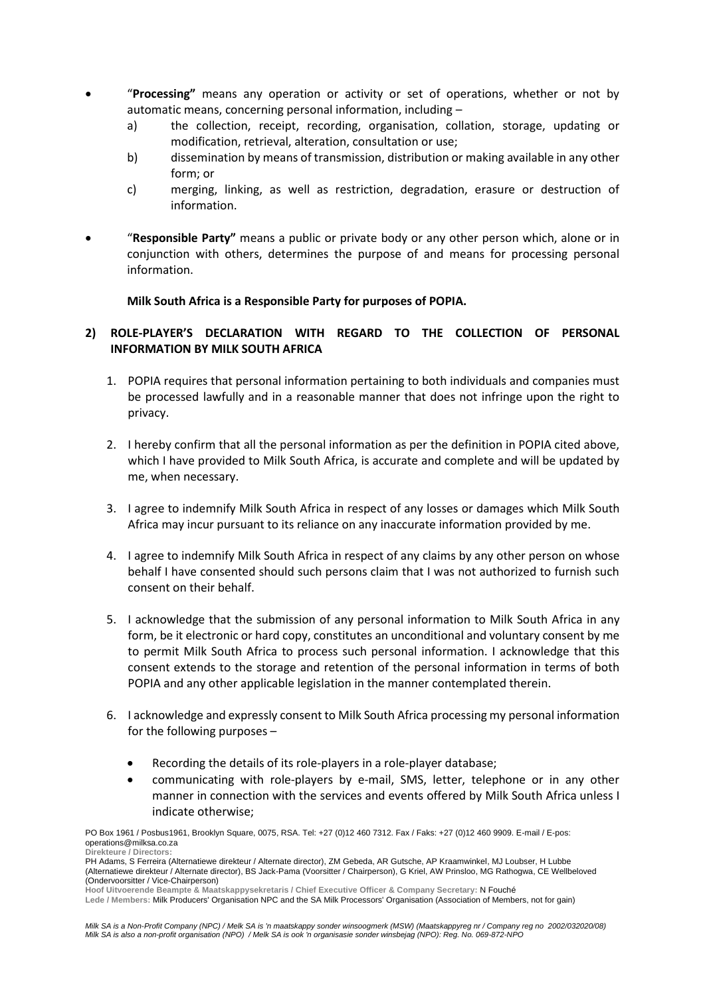- "**Processing"** means any operation or activity or set of operations, whether or not by automatic means, concerning personal information, including –
	- a) the collection, receipt, recording, organisation, collation, storage, updating or modification, retrieval, alteration, consultation or use;
	- b) dissemination by means of transmission, distribution or making available in any other form; or
	- c) merging, linking, as well as restriction, degradation, erasure or destruction of information.
- "**Responsible Party"** means a public or private body or any other person which, alone or in conjunction with others, determines the purpose of and means for processing personal information.

**Milk South Africa is a Responsible Party for purposes of POPIA.** 

## **2) ROLE-PLAYER'S DECLARATION WITH REGARD TO THE COLLECTION OF PERSONAL INFORMATION BY MILK SOUTH AFRICA**

- 1. POPIA requires that personal information pertaining to both individuals and companies must be processed lawfully and in a reasonable manner that does not infringe upon the right to privacy.
- 2. I hereby confirm that all the personal information as per the definition in POPIA cited above, which I have provided to Milk South Africa, is accurate and complete and will be updated by me, when necessary.
- 3. I agree to indemnify Milk South Africa in respect of any losses or damages which Milk South Africa may incur pursuant to its reliance on any inaccurate information provided by me.
- 4. I agree to indemnify Milk South Africa in respect of any claims by any other person on whose behalf I have consented should such persons claim that I was not authorized to furnish such consent on their behalf.
- 5. I acknowledge that the submission of any personal information to Milk South Africa in any form, be it electronic or hard copy, constitutes an unconditional and voluntary consent by me to permit Milk South Africa to process such personal information. I acknowledge that this consent extends to the storage and retention of the personal information in terms of both POPIA and any other applicable legislation in the manner contemplated therein.
- 6. I acknowledge and expressly consent to Milk South Africa processing my personal information for the following purposes –
	- Recording the details of its role-players in a role-player database;
	- communicating with role-players by e-mail, SMS, letter, telephone or in any other manner in connection with the services and events offered by Milk South Africa unless I indicate otherwise;

PO Box 1961 / Posbus1961, Brooklyn Square, 0075, RSA. Tel: +27 (0)12 460 7312. Fax / Faks: +27 (0)12 460 9909. E-mail / E-pos: operations@milksa.co.za **Direkteure / Directors:**

PH Adams, S Ferreira (Alternatiewe direkteur / Alternate director), ZM Gebeda, AR Gutsche, AP Kraamwinkel, MJ Loubser, H Lubbe (Alternatiewe direkteur / Alternate director), BS Jack-Pama (Voorsitter / Chairperson), G Kriel, AW Prinsloo, MG Rathogwa, CE Wellbeloved (Ondervoorsitter / Vice-Chairperson)

**Hoof Uitvoerende Beampte & Maatskappysekretaris / Chief Executive Officer & Company Secretary:** N Fouché **Lede / Members:** Milk Producers' Organisation NPC and the SA Milk Processors' Organisation (Association of Members, not for gain)

*Milk SA is a Non-Profit Company (NPC) / Melk SA is 'n maatskappy sonder winsoogmerk (MSW) (Maatskappyreg nr / Company reg no 2002/032020/08) Milk SA is also a non-profit organisation (NPO) / Melk SA is ook 'n organisasie sonder winsbejag (NPO): Reg. No. 069-872-NPO*